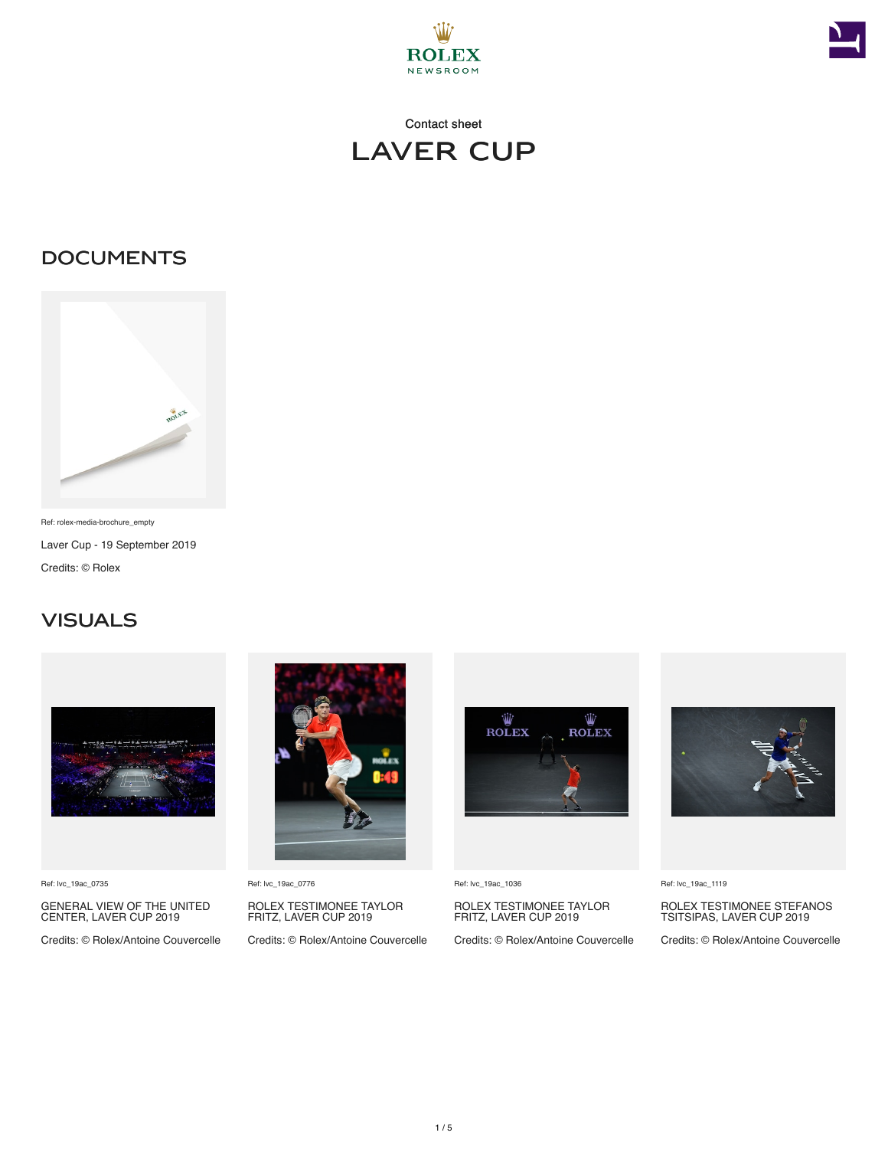



### **DOCUMENTS**



Ref: rolex-media-brochure\_empty Laver Cup - 19 September 2019 Credits: © Rolex

#### **VISUALS**



Ref: lvc\_19ac\_0735

GENERAL VIEW OF THE UNITED CENTER, LAVER CUP 2019

Credits: © Rolex/Antoine Couvercelle



Ref: lvc\_19ac\_0776

ROLEX TESTIMONEE TAYLOR FRITZ, LAVER CUP 2019

Credits: © Rolex/Antoine Couvercelle



Ref: lvc\_19ac\_1036

ROLEX TESTIMONEE TAYLOR FRITZ, LAVER CUP 2019

Credits: © Rolex/Antoine Couvercelle



Ref: lvc\_19ac\_1119

ROLEX TESTIMONEE STEFANOS TSITSIPAS, LAVER CUP 2019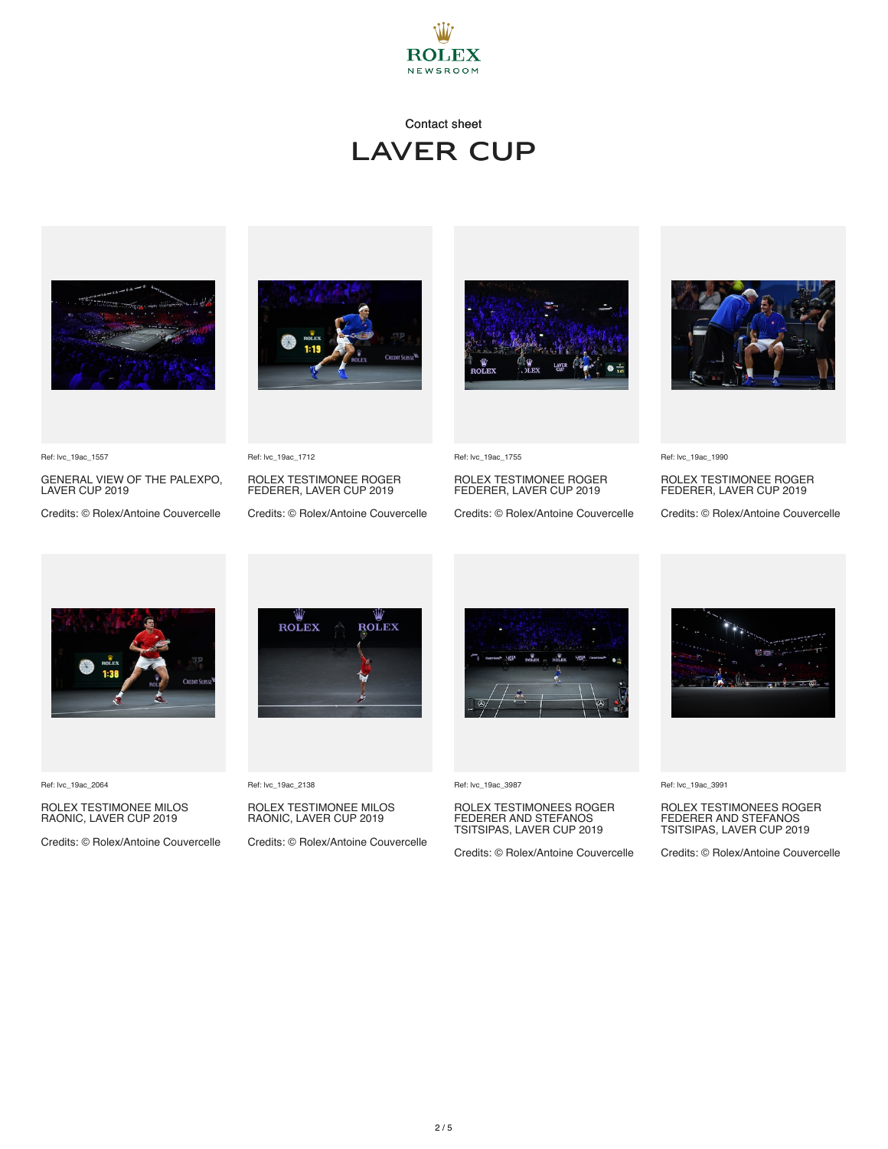



GENERAL VIEW OF THE PALEXPO, LAVER CUP 2019 Credits: © Rolex/Antoine Couvercelle





ROLEX TESTIMONEE ROGER FEDERER, LAVER CUP 2019 Credits: © Rolex/Antoine Couvercelle



Ref: lvc\_19ac\_1990

ROLEX TESTIMONEE ROGER FEDERER, LAVER CUP 2019

Credits: © Rolex/Antoine Couvercelle



Ref: lvc\_19ac\_2064

Ref: lvc\_19ac\_1557

#### ROLEX TESTIMONEE MILOS RAONIC, LAVER CUP 2019

Credits: © Rolex/Antoine Couvercelle

Ref: lvc\_19ac\_1712

**ROLEX** 

Ref: lvc\_19ac\_2138

ROLEX TESTIMONEE MILOS RAONIC, LAVER CUP 2019

Credits: © Rolex/Antoine Couvercelle

ROLEX TESTIMONEE ROGER FEDERER, LAVER CUP 2019

Credits: © Rolex/Antoine Couvercelle



Ref: lvc\_19ac\_1755

Ref: lvc\_19ac\_3987

# ROLEX TESTIMONEES ROGER FEDERER AND STEFANOS TSITSIPAS, LAVER CUP 2019

Credits: © Rolex/Antoine Couvercelle



Ref: lvc\_19ac\_3991

# ROLEX TESTIMONEES ROGER FEDERER AND STEFANOS TSITSIPAS, LAVER CUP 2019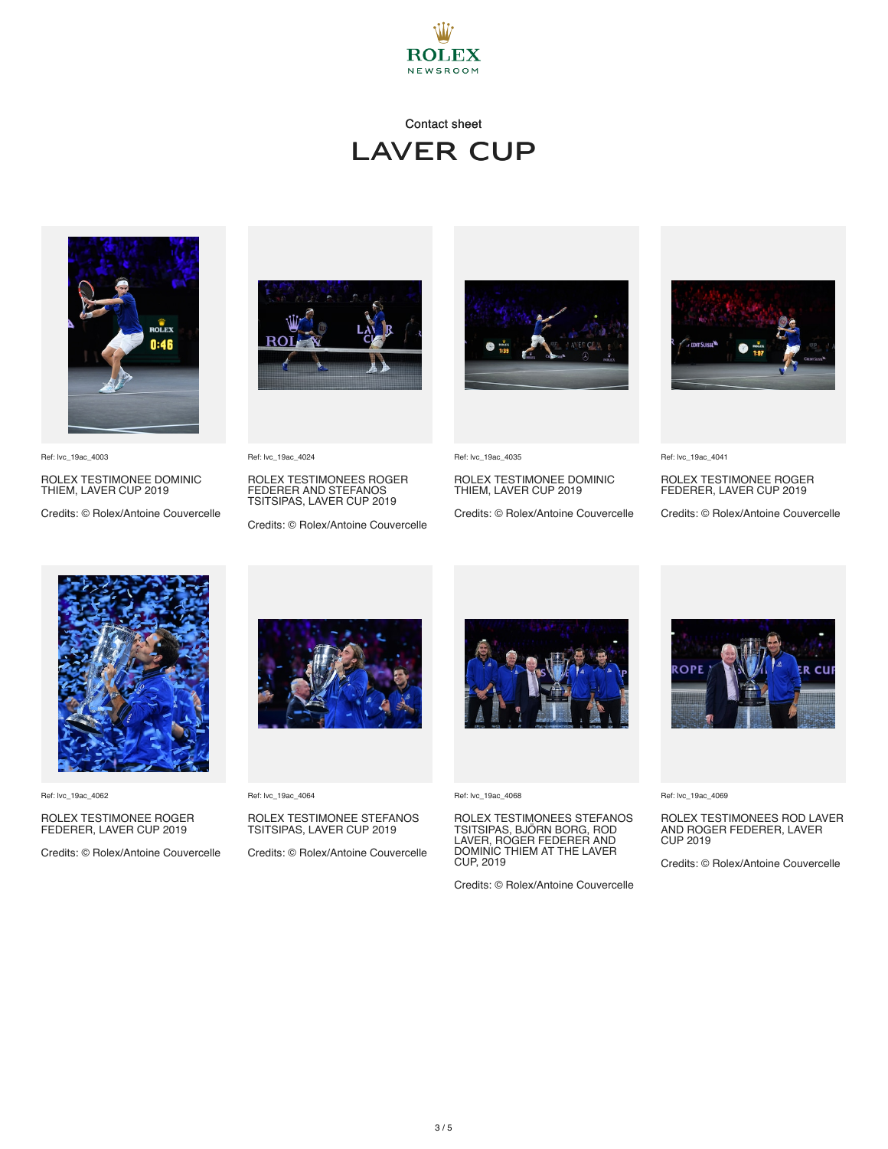



Ref: lvc\_19ac\_4003

ROLEX TESTIMONEE DOMINIC THIEM, LAVER CUP 2019

Credits: © Rolex/Antoine Couvercelle



Ref: lvc\_19ac\_4024

ROLEX TESTIMONEES ROGER FEDERER AND STEFANOS TSITSIPAS, LAVER CUP 2019

Credits: © Rolex/Antoine Couvercelle



Ref: lvc\_19ac\_4035

ROLEX TESTIMONEE DOMINIC THIEM, LAVER CUP 2019

Credits: © Rolex/Antoine Couvercelle



Ref: lvc\_19ac\_4041

ROLEX TESTIMONEE ROGER FEDERER, LAVER CUP 2019

Credits: © Rolex/Antoine Couvercelle



Ref: lvc\_19ac\_4062

## ROLEX TESTIMONEE ROGER FEDERER, LAVER CUP 2019

Credits: © Rolex/Antoine Couvercelle



Ref: lvc\_19ac\_4064

## ROLEX TESTIMONEE STEFANOS TSITSIPAS, LAVER CUP 2019

Credits: © Rolex/Antoine Couvercelle



Ref: lvc\_19ac\_4068

ROLEX TESTIMONEES STEFANOS TSITSIPAS, BJÖRN BORG, ROD LAVER, ROGER FEDERER AND DOMINIC THIEM AT THE LAVER CUP, 2019

Credits: © Rolex/Antoine Couvercelle



Ref: lvc\_19ac\_4069

ROLEX TESTIMONEES ROD LAVER AND ROGER FEDERER, LAVER CUP 2019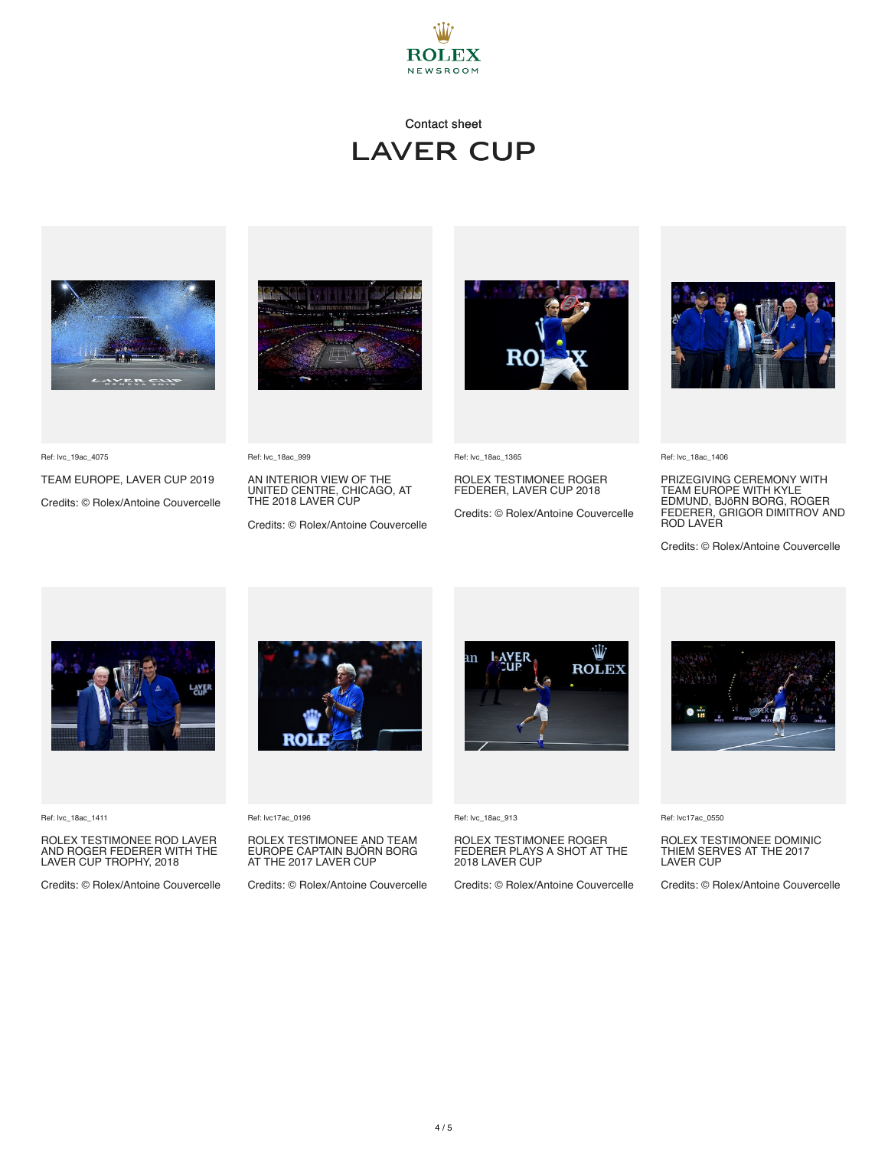

### Contact sheet laver cup



TEAM EUROPE, LAVER CUP 2019 Credits: © Rolex/Antoine Couvercelle



AN INTERIOR VIEW OF THE UNITED CENTRE, CHICAGO, AT THE 2018 LAVER CUP

Credits: © Rolex/Antoine Couvercelle



Ref: lvc\_18ac\_1365

ROLEX TESTIMONEE ROGER FEDERER, LAVER CUP 2018

Credits: © Rolex/Antoine Couvercelle



Ref: lvc\_18ac\_1406

PRIZEGIVING CEREMONY WITH<br>TEAM EUROPE WITH KYLE<br>EDMUND, BJÖRN BORG, ROGER<br>FEDERER, GRIGOR DIMITROV AND ROD LAVER

Credits: © Rolex/Antoine Couvercelle



Ref: lvc\_18ac\_1411

Ref: lvc\_19ac\_4075

ROLEX TESTIMONEE ROD LAVER AND ROGER FEDERER WITH THE LAVER CUP TROPHY, 2018

Credits: © Rolex/Antoine Couvercelle



Ref: lvc17ac\_0196

Ref: lvc\_18ac\_999

ROLEX TESTIMONEE AND TEAM EUROPE CAPTAIN BJÖRN BORG AT THE 2017 LAVER CUP

Credits: © Rolex/Antoine Couvercelle



Ref: lvc\_18ac\_913

ROLEX TESTIMONEE ROGER FEDERER PLAYS A SHOT AT THE 2018 LAVER CUP

Credits: © Rolex/Antoine Couvercelle



Ref: lvc17ac\_0550

ROLEX TESTIMONEE DOMINIC THIEM SERVES AT THE 2017 LAVER CUP